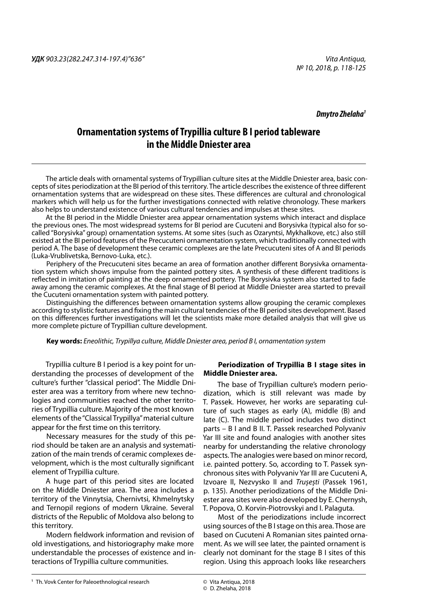*Dmytro Zhelaha1*

# **Ornamentation systems of Trypillia culture B I period tableware in the Middle Dniester area**

The article deals with ornamental systems of Trypillian culture sites at the Middle Dniester area, basic concepts of sites periodization at the BI period of this territory. The article describes the existence of three different ornamentation systems that are widespread on these sites. These differences are cultural and chronological markers which will help us for the further investigations connected with relative chronology. These markers also helps to understand existence of various cultural tendencies and impulses at these sites.

At the BI period in the Middle Dniester area appear ornamentation systems which interact and displace the previous ones. The most widespread systems for BI period are Cucuteni and Borysivka (typical also for socalled "Borysivka" group) ornamentation systems. At some sites (such as Ozaryntsi, Mykhalkove, etc.) also still existed at the BI period features of the Precucuteni ornamentation system, which traditionally connected with period A. The base of development these ceramic complexes are the late Precucuteni sites of A and BI periods (Luka-Vrublivetska, Bernovo-Luka, etc.).

Periphery of the Precucuteni sites became an area of formation another different Borysivka ornamentation system which shows impulse from the painted pottery sites. A synthesis of these different traditions is reflected in imitation of painting at the deep ornamented pottery. The Borysivka system also started to fade away among the ceramic complexes. At the final stage of BI period at Middle Dniester area started to prevail the Cucuteni ornamentation system with painted pottery.

Distinguishing the differences between ornamentation systems allow grouping the ceramic complexes according to stylistic features and fixing the main cultural tendencies of the BI period sites development. Based on this differences further investigations will let the scientists make more detailed analysis that will give us more complete picture of Trypillian culture development.

**Key words:** *Eneolithic, Trypillya culture, Middle Dniester area, period B I, ornamentation system*

Trypillia culture B I period is a key point for understanding the processes of development of the culture's further "classical period". The Middle Dniester area was a territory from where new technologies and communities reached the other territories of Trypillia culture. Majority of the most known elements of the "Classical Trypillya" material culture appear for the first time on this territory.

Necessary measures for the study of this period should be taken are an analysis and systematization of the main trends of ceramic complexes development, which is the most culturally significant element of Trypillia culture.

A huge part of this period sites are located on the Middle Dniester area. The area includes a territory of the Vinnytsia, Chernivtsi, Khmelnytsky and Ternopil regions of modern Ukraine. Several districts of the Republic of Moldova also belong to this territory.

Modern fieldwork information and revision of old investigations, and historiography make more understandable the processes of existence and interactions of Trypillia culture communities.

# **Periodization of Trypillia B I stage sites in Middle Dniester area.**

The base of Trypillian culture's modern periodization, which is still relevant was made by T. Passek. However, her works are separating culture of such stages as early (A), middle (B) and late (C). The middle period includes two distinct parts – B I and B II. T. Passek researched Polyvaniv Yar III site and found analogies with another sites nearby for understanding the relative chronology aspects. The analogies were based on minor record, i.e. painted pottery. So, according to T. Passek synchronous sites with Polyvaniv Yar III are Cucuteni A, Izvoare II, Nezvysko II and *Trușești* (Passek 1961, p. 135). Another periodizations of the Middle Dniester area sites were also developed by E. Chernysh, T. Popova, O. Korvin-Piotrovskyi and I. Palaguta.

Most of the periodizations include incorrect using sources of the B I stage on this area. Those are based on Cucuteni A Romanian sites painted ornament. As we will see later, the painted ornament is clearly not dominant for the stage B I sites of this region. Using this approach looks like researchers

**<sup>1</sup>** Th. Vovk Center for Paleoethnological research **1888** *C* Vita Antiqua, 2018

<sup>©</sup> Vita Antiqua, 2018 © D. Zhelaha, 2018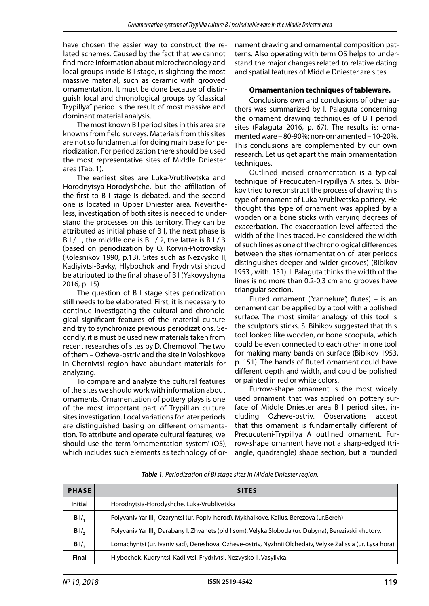have chosen the easier way to construct the related schemes. Caused by the fact that we cannot find more information about microchronology and local groups inside B I stage, is slighting the most massive material, such as ceramic with grooved ornamentation. It must be done because of distinguish local and chronological groups by "classical Trypillya" period is the result of most massive and dominant material analysis.

The most known B I period sites in this area are knowns from field surveys. Materials from this sites are not so fundamental for doing main base for periodization. For periodization there should be used the most representative sites of Middle Dniester area (Tab. 1).

The earliest sites are Luka-Vrublivetska and Horodnytsya-Horodyshche, but the affiliation of the first to B I stage is debated, and the second one is located in Upper Dniester area. Nevertheless, investigation of both sites is needed to understand the processes on this territory. They can be attributed as initial phase of B I, the next phase is B I / 1, the middle one is B I / 2, the latter is B I / 3 (based on periodization by O. Korvin-Piotrovskyi (Kolesnikov 1990, p.13). Sites such as Nezvysko II, Kadiyivtsi-Bavky, Hlybochok and Frydrivtsi shoud be attributed to the final phase of B I (Yakovyshyna 2016, p. 15).

The question of B I stage sites periodization still needs to be elaborated. First, it is necessary to continue investigating the cultural and chronological significant features of the material culture and try to synchronize previous periodizations. Secondly, it is must be used new materials taken from recent researches of sites by D. Chernovol. The two of them – Ozheve-ostriv and the site in Voloshkove in Chernivtsi region have abundant materials for analyzing.

To compare and analyze the cultural features of the sites we should work with information about ornaments. Ornamentation of pottery plays is one of the most important part of Trypillian culture sites investigation. Local variations for later periods are distinguished basing on different ornamentation. To attribute and operate cultural features, we should use the term 'ornamentation system' (OS), which includes such elements as technology of ornament drawing and ornamental composition patterns. Also operating with term OS helps to understand the major changes related to relative dating and spatial features of Middle Dniester are sites.

# **Ornamentanion techniques of tableware.**

Conclusions own and conclusions of other authors was summarized by I. Palaguta concerning the ornament drawing techniques of B I period sites (Palaguta 2016, p. 67). The results is: ornamented ware – 80-90%; non-ornamented – 10-20%. This conclusions are complemented by our own research. Let us get apart the main ornamentation techniques.

Outlined incised ornamentation is a typical technique of Precucuteni-Trypillya A sites. S. Bibikov tried to reconstruct the process of drawing this type of ornament of Luka-Vrublivetska pottery. He thought this type of ornament was applied by a wooden or a bone sticks with varying degrees of exacerbation. The exacerbation level affected the width of the lines traced. He considered the width of such lines as one of the chronological differences between the sites (ornamentation of later periods distinguishes deeper and wider grooves) (Bibikov 1953 , with. 151). I. Palaguta thinks the width of the lines is no more than 0,2-0,3 cm and grooves have triangular section.

Fluted ornament ("cannelure", flutes) – is an ornament can be applied by a tool with a polished surface. The most similar analogy of this tool is the sculptor's sticks. S. Bibikov suggested that this tool looked like wooden, or bone scoopula, which could be even connected to each other in one tool for making many bands on surface (Bibikov 1953, p. 151). The bands of fluted ornament could have different depth and width, and could be polished or painted in red or white colors.

Furrow-shape ornament is the most widely used ornament that was applied on pottery surface of Middle Dniester area B I period sites, including Ozheve-ostriv. Observations accept that this ornament is fundamentally different of Precucuteni-Trypillya A outlined ornament. Furrow-shape ornament have not a sharp-edged (triangle, quadrangle) shape section, but a rounded

| <b>PHASE</b>   | <b>SITES</b>                                                                                               |
|----------------|------------------------------------------------------------------------------------------------------------|
| Initial        | Horodnytsia-Horodyshche, Luka-Vrublivetska                                                                 |
| B <sub>1</sub> | Polyvaniv Yar III., Ozaryntsi (ur. Popiv-horod), Mykhalkove, Kalius, Berezova (ur.Bereh)                   |
| $BII$ ,        | Polyvaniv Yar III., Darabany I, Zhvanets (pid lisom), Velyka Sloboda (ur. Dubyna), Berezivski khutory.     |
| BII            | Lomachyntsi (ur. Ivaniv sad), Dereshova, Ozheve-ostriv, Nyzhnii Olchedaiv, Velyke Zalissia (ur. Lysa hora) |
| Final          | Hlybochok, Kudryntsi, Kadiivtsi, Frydrivtsi, Nezvysko II, Vasylivka.                                       |

*Table 1. Periodization of BI stage sites in Middle Dniester region.*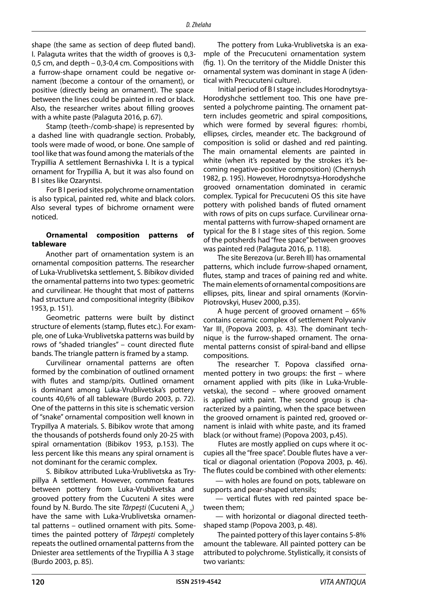shape (the same as section of deep fluted band). I. Palaguta writes that the width of grooves is 0,3- 0,5 cm, and depth – 0,3-0,4 cm. Compositions with a furrow-shape ornament could be negative ornament (become a contour of the ornament), or positive (directly being an ornament). The space between the lines could be painted in red or black. Also, the researcher writes about filling grooves with a white paste (Palaguta 2016, p. 67).

Stamp (teeth-/comb-shape) is represented by a dashed line with quadrangle section. Probably, tools were made of wood, or bone. One sample of tool like that was found among the materials of the Trypillia A settlement Bernashivka I. It is a typical ornament for Trypillia A, but it was also found on B I sites like Ozaryntsi.

For В I period sites polychrome ornamentation is also typical, painted red, white and black colors. Also several types of bichrome ornament were noticed.

# **Ornamental composition patterns of tableware**

Another part of ornamentation system is an ornamental composition patterns. The researcher of Luka-Vrublivetska settlement, S. Bibikov divided the ornamental patterns into two types: geometric and curvilinear. He thought that most of patterns had structure and compositional integrity (Bibikov 1953, p. 151).

Geometric patterns were built by distinct structure of elements (stamp, flutes etc.). For example, one of Luka-Vrublivetska patterns was build by rows of "shaded triangles" – count directed flute bands. The triangle pattern is framed by a stamp.

Curvilinear ornamental patterns are often formed by the combination of outlined ornament with flutes and stamp/pits. Outlined ornament is dominant among Luka-Vrublivetska's pottery counts 40,6% of all tableware (Burdo 2003, p. 72). One of the patterns in this site is schematic version of "snake" ornamental composition well known in Trypillya A materials. S. Bibikov wrote that among the thousands of potsherds found only 20-25 with spiral ornamentation (Bibikov 1953, p.153). The less percent like this means any spiral ornament is not dominant for the ceramic complex.

S. Bibikov attributed Luka-Vrublivetska as Trypillya A settlement. However, common features between pottery from Luka-Vrublivetska and grooved pottery from the Cucuteni A sites were found by N. Burdo. The site *Târpeşti* (Cucuteni A<sub>1-2</sub>) have the same with Luka-Vrublivetska ornamental patterns – outlined ornament with pits. Sometimes the painted pottery of *Târpeşti* completely repeats the outlined ornamental patterns from the Dniester area settlements of the Trypillia A 3 stage (Burdo 2003, p. 85).

The pottery from Luka-Vrublivetska is an example of the Precucuteni ornamentation system (fig. 1). On the territory of the Middle Dnister this ornamental system was dominant in stage A (identical with Precucuteni culture).

Initial period of B I stage includes Horodnytsya-Horodyshche settlement too. This one have presented a polychrome painting. The ornament pattern includes geometric and spiral compositions, which were formed by several figures: rhombi, ellipses, circles, meander etc. The background of composition is solid or dashed and red painting. The main ornamental elements are painted in white (when it's repeated by the strokes it's becoming negative-positive composition) (Chernysh 1982, p. 195). However, Horodnytsya-Horodyshche grooved ornamentation dominated in ceramic complex. Typical for Precucuteni OS this site have pottery with polished bands of fluted ornament with rows of pits on cups surface. Curvilinear ornamental patterns with furrow-shaped ornament are typical for the B I stage sites of this region. Some of the potsherds had "free space" between grooves was painted red (Palaguta 2016, p. 118).

The site Berezova (ur. Bereh III) has ornamental patterns, which include furrow-shaped ornament, flutes, stamp and traces of paining red and white. The main elements of ornamental compositions are ellipses, pits, linear and spiral ornaments (Korvin-Piotrovskyi, Husev 2000, p.35).

A huge percent of grooved ornament – 65% contains ceramic complex of settlement Polyvaniv Yar III. (Popova 2003, p. 43). The dominant technique is the furrow-shaped ornament. The ornamental patterns consist of spiral-band and ellipse compositions.

The researcher T. Popova classified ornamented pottery in two groups: the first – where ornament applied with pits (like in Luka-Vrublevetska), the second – where grooved ornament is applied with paint. The second group is characterized by a painting, when the space between the grooved ornament is painted red, grooved ornament is inlaid with white paste, and its framed black (or without frame) (Popova 2003, p.45).

Flutes are mostly applied on cups where it occupies all the "free space". Double flutes have a vertical or diagonal orientation (Popova 2003, p. 46). The flutes could be combined with other elements:

— with holes are found on pots, tableware on supports and pear-shaped utensils;

— vertical flutes with red painted space between them;

— with horizontal or diagonal directed teethshaped stamp (Popova 2003, p. 48).

The painted pottery of this layer contains 5-8% amount the tableware. All painted pottery can be attributed to polychrome. Stylistically, it consists of two variants: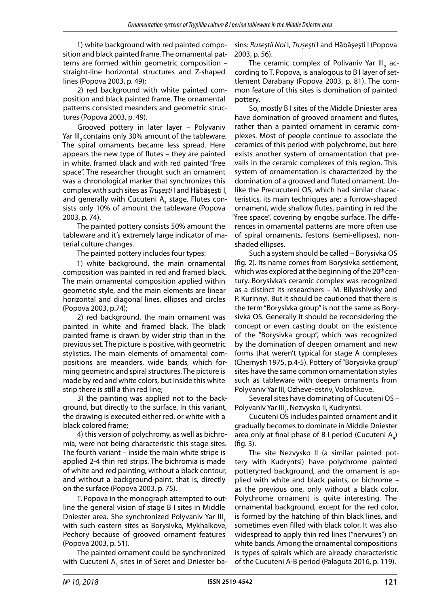1) white background with red painted composition and black painted frame. The ornamental patterns are formed within geometric composition – straight-line horizontal structures and Z-shaped lines (Popova 2003, p. 49);

2) red background with white painted composition and black painted frame. The ornamental patterns consisted meanders and geometric structures (Popova 2003, p. 49).

Grooved pottery in later layer – Polyvaniv Yar III, contains only 30% amount of the tableware. The spiral ornaments became less spread. Here appears the new type of flutes – they are painted in white, framed black and with red painted "free space". The researcher thought such an ornament was a chronological marker that synchronizes this complex with such sites as *Trușești* I and Hăbăşeşti I, and generally with Cucuteni  $\mathsf{A}_{_{3}}$  stage. Flutes consists only 10% of amount the tableware (Popova 2003, p. 74).

The painted pottery consists 50% amount the tableware and it's extremely large indicator of material culture changes.

The painted pottery includes four types:

1) white background, the main ornamental composition was painted in red and framed black. The main ornamental composition applied within geometric style, and the main elements are linear horizontal and diagonal lines, ellipses and circles (Popova 2003, p.74);

2) red background, the main ornament was painted in white and framed black. The black painted frame is drawn by wider strip than in the previous set. The picture is positive, with geometric stylistics. The main elements of ornamental compositions are meanders, wide bands, which forming geometric and spiral structures. The picture is made by red and white colors, but inside this white strip there is still a thin red line;

3) the painting was applied not to the background, but directly to the surface. In this variant, the drawing is executed either red, or white with a black colored frame;

4) this version of polychromy, as well as bichromia, were not being characteristic this stage sites. The fourth variant – inside the main white stripe is applied 2-4 thin red strips. The bichromia is made of white and red painting, without a black contour, and without a background-paint, that is, directly on the surface (Popova 2003, p. 75).

T. Popova in the monograph attempted to outline the general vision of stage B I sites in Middle Dniester area. She synchronized Polyvaniv Yar III. with such eastern sites as Borysivka, Mykhalkove, Pechory because of grooved ornament features (Popova 2003, p. 51).

The painted ornament could be synchronized with Cucuteni  $\mathsf{A}_{_{3}}$  sites in of Seret and Dniester basins: *Ruseştii Noi* I, *Trușești* I and Hăbăşeşti I (Popova 2003, p. 56).

The ceramic complex of Polivaniv Yar III $_2^{}$  according to T. Popova, is analogous to B I layer of settlement Darabany (Popova 2003, p. 81). The common feature of this sites is domination of painted pottery.

So, mostly B I sites of the Middle Dniester area have domination of grooved ornament and flutes, rather than a painted ornament in ceramic complexes. Most of people continue to associate the ceramics of this period with polychrome, but here exists another system of ornamentation that prevails in the ceramic complexes of this region. This system of ornamentation is characterized by the domination of a grooved and fluted ornament. Unlike the Precucuteni OS, which had similar characteristics, its main techniques are: a furrow-shaped ornament, wide shallow flutes, painting in red the "free space", covering by engobe surface. The differences in ornamental patterns are more often use of spiral ornaments, festons (semi-ellipses), nonshaded ellipses.

Such a system should be called – Borysivka OS (fig. 2). Its name comes from Borysivka settlement, which was explored at the beginning of the 20<sup>th</sup> century. Borysivka's ceramic complex was recognized as a distinct its researchers – M. Bilyashivsky and P. Kurinnyi. But it should be cautioned that there is the term "Borysivka group" is not the same as Borysivka OS. Generally it should be reconsidering the concept or even casting doubt on the existence of the "Borysivka group", which was recognized by the domination of deepen ornament and new forms that weren't typical for stage A complexes (Chernysh 1975, p.4-5). Pottery of "Borysivka group" sites have the same common ornamentation styles such as tableware with deepen ornaments from Polyvaniv Yar III, Ozheve-ostriv, Voloshkove.

Several sites have dominating of Cucuteni OS – Polyvaniv Yar III<sub>2</sub>, Nezvysko II, Kudryntsi.

Cucuteni OS includes painted ornament and it gradually becomes to dominate in Middle Dniester area only at final phase of B I period (Cucuteni  $A_4$ ) (fig. 3).

The site Nezvysko II (a similar painted pottery with Kudryntsi) have polychrome painted pottery:red background, and the ornament is applied with white and black paints, or bichrome – as the previous one, only without a black color. Polychrome ornament is quite interesting. The ornamental background, except for the red color, is formed by the hatching of thin black lines, and sometimes even filled with black color. It was also widespread to apply thin red lines ("nervures") on white bands. Among the ornamental compositions is types of spirals which are already characteristic of the Cucuteni A-B period (Palaguta 2016, p. 119).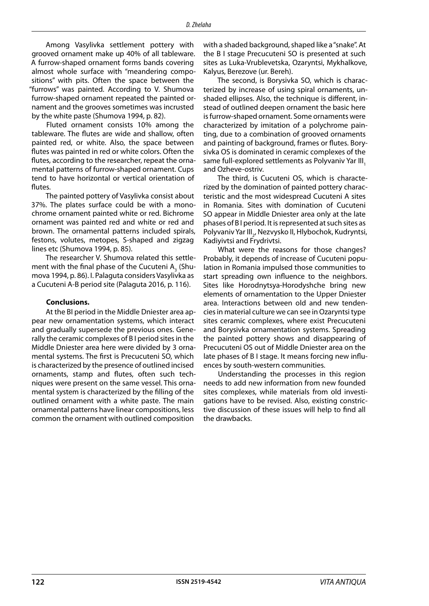Among Vasylivka settlement pottery with grooved ornament make up 40% of all tableware. A furrow-shaped ornament forms bands covering almost whole surface with "meandering compositions" with pits. Often the space between the "furrows" was painted. According to V. Shumova furrow-shaped ornament repeated the painted ornament and the grooves sometimes was incrusted by the white paste (Shumova 1994, p. 82).

Fluted ornament consists 10% among the tableware. The flutes are wide and shallow, often painted red, or white. Also, the space between flutes was painted in red or white colors. Often the flutes, according to the researcher, repeat the ornamental patterns of furrow-shaped ornament. Cups tend to have horizontal or vertical orientation of flutes.

The painted pottery of Vasylivka consist about 37%. The plates surface could be with a monochrome ornament painted white or red. Bichrome ornament was painted red and white or red and brown. The ornamental patterns included spirals, festons, volutes, metopes, S-shaped and zigzag lines etc (Shumova 1994, p. 85).

The researcher V. Shumova related this settlement with the final phase of the Cucuteni  $A_3^2$  (Shumova 1994, p. 86). I. Palaguta considers Vasylivka as a Cucuteni A-B period site (Palaguta 2016, p. 116).

#### **Conclusions.**

At the BI period in the Middle Dniester area appear new ornamentation systems, which interact and gradually supersede the previous ones. Generally the ceramic complexes of B I period sites in the Middle Dniester area here were divided by 3 ornamental systems. The first is Precucuteni SO, which is characterized by the presence of outlined incised ornaments, stamp and flutes, often such techniques were present on the same vessel. This ornamental system is characterized by the filling of the outlined ornament with a white paste. The main ornamental patterns have linear compositions, less common the ornament with outlined composition

with a shaded background, shaped like a "snake". At the B I stage Precucuteni SO is presented at such sites as Luka-Vrublevetska, Ozaryntsi, Mykhalkove, Kalyus, Berezove (ur. Bereh).

The second, is Borysivka SO, which is characterized by increase of using spiral ornaments, unshaded ellipses. Also, the technique is different, instead of outlined deepen ornament the basic here is furrow-shaped ornament. Some ornaments were characterized by imitation of a polychrome painting, due to a combination of grooved ornaments and painting of background, frames or flutes. Borysivka OS is dominated in ceramic complexes of the same full-explored settlements as Polyvaniv Yar III. and Ozheve-ostriv.

The third, is Cucuteni OS, which is characterized by the domination of painted pottery characteristic and the most widespread Cucuteni A sites in Romania. Sites with domination of Cucuteni SO appear in Middle Dniester area only at the late phases of B I period. It is represented at such sites as Polyvaniv Yar III<sub>2</sub>, Nezvysko II, Hlybochok, Kudryntsi, Kadiyivtsi and Frydrivtsi.

What were the reasons for those changes? Probably, it depends of increase of Cucuteni population in Romania impulsed those communities to start spreading own influence to the neighbors. Sites like Horodnytsya-Horodyshche bring new elements of ornamentation to the Upper Dniester area. Interactions between old and new tendencies in material culture we can see in Ozaryntsi type sites ceramic complexes, where exist Precucuteni and Borysivka ornamentation systems. Spreading the painted pottery shows and disappearing of Precucuteni OS out of Middle Dniester area on the late phases of B I stage. It means forcing new influences by south-western communities.

Understanding the processes in this region needs to add new information from new founded sites complexes, while materials from old investigations have to be revised. Also, existing constrictive discussion of these issues will help to find all the drawbacks.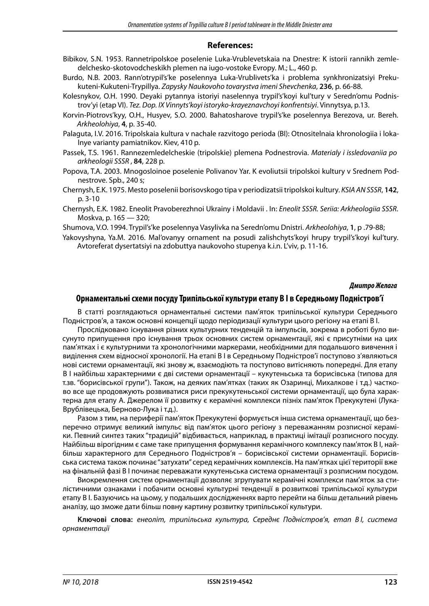# **References:**

- Bibikov, S.N. 1953. Rannetripolskoe poselenie Luka-Vrublevetskaia na Dnestre: K istorii rannikh zemledelchesko-skotovodcheskikh plemen na iugo-vostoke Evropy. M.; L., 460 p.
- Burdo, N.B. 2003. Rann'otrypil's'ke poselennya Luka-Vrublivets'ka i problema synkhronizatsiyi Prekukuteni-Kukuteni-Trypillya. *Zapysky Naukovoho tovarystva imeni Shevchenka*, **236**, p. 66-88.
- Kolesnykov, O.H. 1990. Deyaki pytannya istoriyi naselennya trypil's'koyi kul'tury v Seredn'omu Podnistrov'yi (etap VI). *Tez. Dop. IX Vinnyts'koyi istoryko-krayeznavchoyi konfrentsiyi*. Vinnytsya, p.13.
- Korvin-Piotrovs'kyy, O.H., Husyev, S.O. 2000. Bahatosharove trypil's'ke poselennya Berezova, ur. Bereh. *Arkheolohiya*, **4**, p. 35-40.
- Palaguta, I.V. 2016. Tripolskaia kultura v nachale razvitogo perioda (BI): Otnositelnaia khronologiia i lokalnye varianty pamiatnikov. Kiev, 410 p.
- Passek, T.S. 1961. Rannezemledelcheskie (tripolskie) plemena Podnestrovia. *Materialy i issledovaniia po arkheologii SSSR* , **84**, 228 p.
- Popova, T.A. 2003. Mnogosloinoe poselenie Polivanov Yar. K evoliutsii tripolskoi kultury v Srednem Podnestrove. Spb., 240 s;
- Chernysh, E.K. 1975. Mesto poselenii borisovskogo tipa v periodizatsii tripolskoi kultury. *KSIA AN SSSR*, **142**, p. 3-10
- Chernysh, E.K. 1982. Eneolit Pravoberezhnoi Ukrainy i Moldavii . In: *Eneolit SSSR. Seriia: Arkheologiia SSSR*. Moskva, p. 165 — 320;

Shumova, V.O. 1994. Trypil's'ke poselennya Vasylivka na Seredn'omu Dnistri. *Arkheolohiya*, **1**, p .79-88;

Yakovyshyna, Ya.M. 2016. Mal'ovanyy ornament na posudi zalishchyts'koyi hrupy trypil's'koyi kul'tury. Avtoreferat dysertatsiyi na zdobuttya naukovoho stupenya k.i.n. L'viv, p. 11-16.

#### *Дмитро Желага*

### **Орнаментальні схеми посуду Трипільської культури етапу B I в Середньому Подністров'ї**

В статті розглядаються орнаментальні системи пам'яток трипільської культури Середнього Подністров'я, а також основні концепції щодо періодизації культури цього регіону на етапі В І.

Прослідковано існування різних культурних тенденцій та імпульсів, зокрема в роботі було висунуто припущення про існування трьох основних систем орнаментації, які є присутніми на цих пам'ятках і є культурними та хронологічними маркерами, необхідними для подальшого вивчення і виділення схем відносної хронології. На етапі В І в Середньому Подністров'ї поступово з'являються нові системи орнаментації, які знову ж, взаємодіють та поступово витісняють попередні. Для етапу В І найбільш характерними є дві системи орнаментації – кукутеньська та борисівська (типова для т.зв. "борисівської групи"). Також, на деяких пам'ятках (таких як Озаринці, Михалкове і т.д.) частково все ще продовжують розвиватися риси прекукутеньської системи орнаментації, що була характерна для етапу А. Джерелом її розвитку є керамічні комплекси пізніх пам'яток Прекукутені (Лука-Врублівецька, Берново-Лука і т.д.).

Разом з тим, на периферії пам'яток Прекукутені формується інша система орнаментації, що безперечно отримує великий імпульс від пам'яток цього регіону з переважанням розписної кераміки. Певний синтез таких "традицій" відбивається, наприклад, в практиці імітації розписного посуду. Найбільш вірогідним є саме таке припущення формування керамічного комплексу пам'яток В І, найбільш характерного для Середнього Подністров'я – борисівської системи орнаментації. Борисівська система також починає "затухати" серед керамічних комплексів. На пам'ятках цієї території вже на фінальній фазі В І починає переважати кукутеньська система орнаментації з розписним посудом.

Виокремлення систем орнаментації дозволяє згрупувати керамічні комплекси пам'яток за стилістичними ознаками і побачити основні культурні тенденції в розвиткові трипільської культури етапу В І. Базуючись на цьому, у подальших дослідженнях варто перейти на більш детальний рівень аналізу, що зможе дати більш повну картину розвитку трипільської культури.

**Ключові слова:** *енеоліт, трипільська культура, Середнє Подністров'я, етап В І, система орнаментації*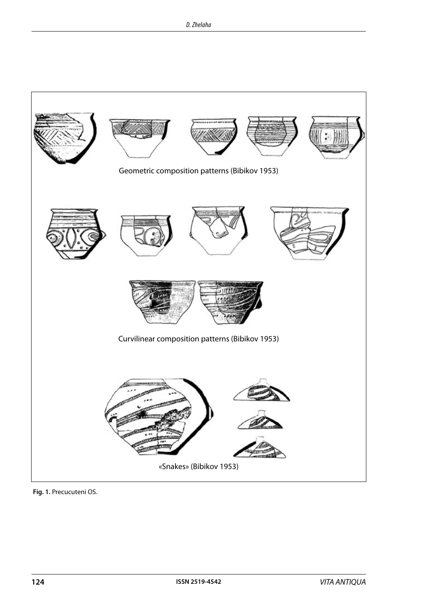

**Fig. 1.** Precucuteni OS.